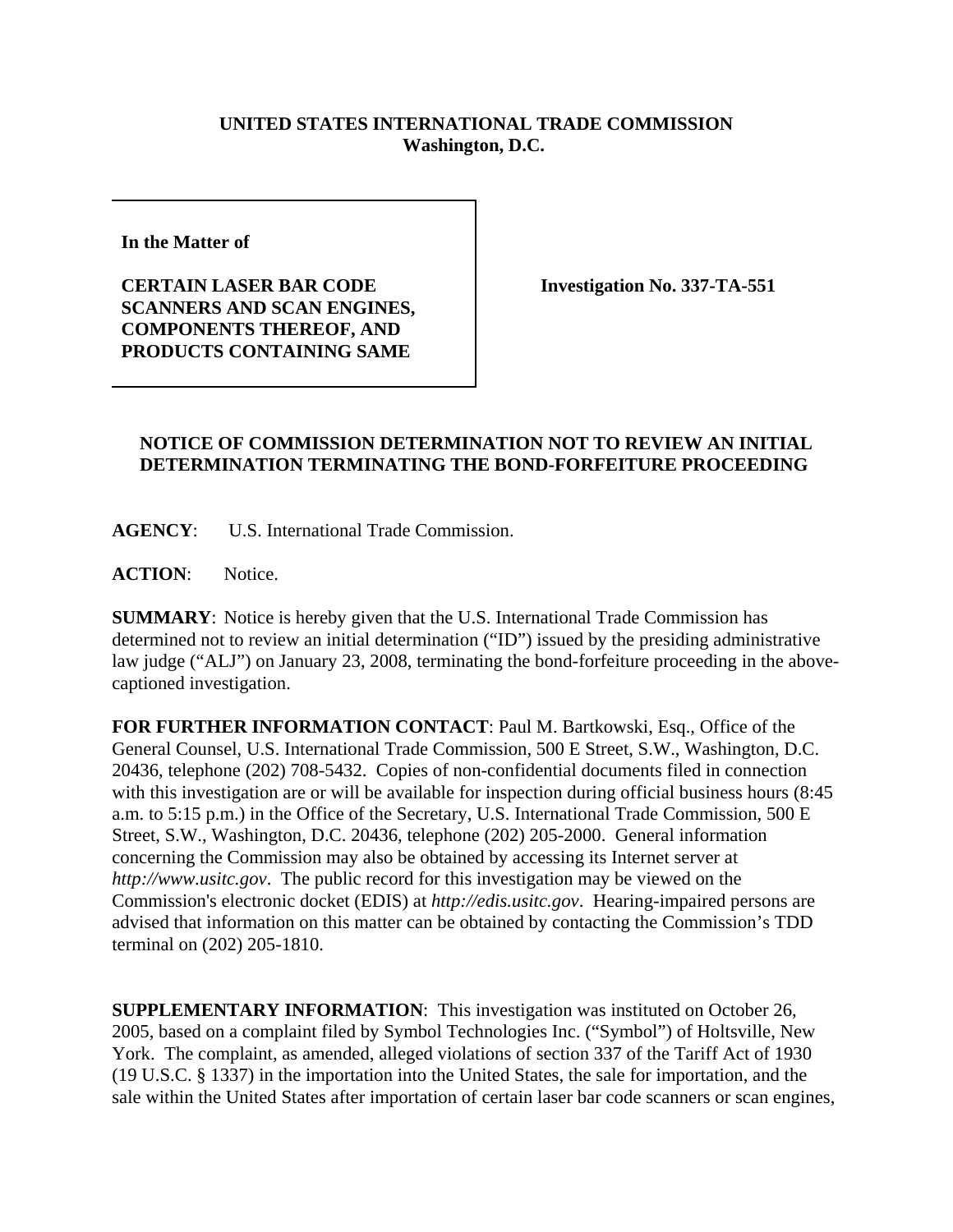## **UNITED STATES INTERNATIONAL TRADE COMMISSION Washington, D.C.**

**In the Matter of** 

**CERTAIN LASER BAR CODE SCANNERS AND SCAN ENGINES, COMPONENTS THEREOF, AND PRODUCTS CONTAINING SAME**

**Investigation No. 337-TA-551**

## **NOTICE OF COMMISSION DETERMINATION NOT TO REVIEW AN INITIAL DETERMINATION TERMINATING THE BOND-FORFEITURE PROCEEDING**

**AGENCY**: U.S. International Trade Commission.

**ACTION**: Notice.

**SUMMARY**: Notice is hereby given that the U.S. International Trade Commission has determined not to review an initial determination ("ID") issued by the presiding administrative law judge ("ALJ") on January 23, 2008, terminating the bond-forfeiture proceeding in the abovecaptioned investigation.

**FOR FURTHER INFORMATION CONTACT**: Paul M. Bartkowski, Esq., Office of the General Counsel, U.S. International Trade Commission, 500 E Street, S.W., Washington, D.C. 20436, telephone (202) 708-5432. Copies of non-confidential documents filed in connection with this investigation are or will be available for inspection during official business hours (8:45 a.m. to 5:15 p.m.) in the Office of the Secretary, U.S. International Trade Commission, 500 E Street, S.W., Washington, D.C. 20436, telephone (202) 205-2000. General information concerning the Commission may also be obtained by accessing its Internet server at *http://www.usitc.gov*. The public record for this investigation may be viewed on the Commission's electronic docket (EDIS) at *http://edis.usitc.gov*. Hearing-impaired persons are advised that information on this matter can be obtained by contacting the Commission's TDD terminal on (202) 205-1810.

**SUPPLEMENTARY INFORMATION**: This investigation was instituted on October 26, 2005, based on a complaint filed by Symbol Technologies Inc. ("Symbol") of Holtsville, New York. The complaint, as amended, alleged violations of section 337 of the Tariff Act of 1930 (19 U.S.C. § 1337) in the importation into the United States, the sale for importation, and the sale within the United States after importation of certain laser bar code scanners or scan engines,